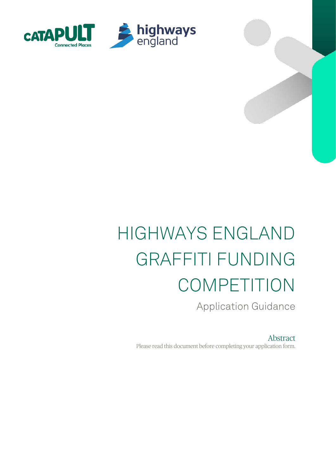

# HIGHWAYS ENGLAND GRAFFITI FUNDING COMPETITION

Application Guidance

Abstract Please read this document before completing your application form.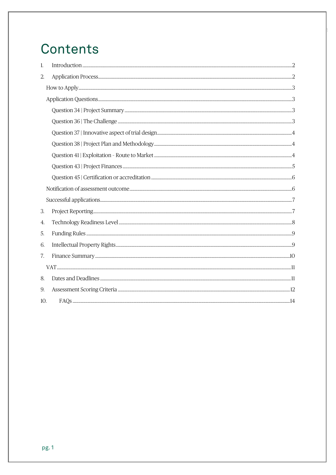## Contents

| 1.  |  |  |
|-----|--|--|
| 2.  |  |  |
|     |  |  |
|     |  |  |
|     |  |  |
|     |  |  |
|     |  |  |
|     |  |  |
|     |  |  |
|     |  |  |
|     |  |  |
|     |  |  |
|     |  |  |
| 3.  |  |  |
| 4.  |  |  |
| 5.  |  |  |
| 6.  |  |  |
| 7.  |  |  |
|     |  |  |
| 8.  |  |  |
| 9.  |  |  |
| 10. |  |  |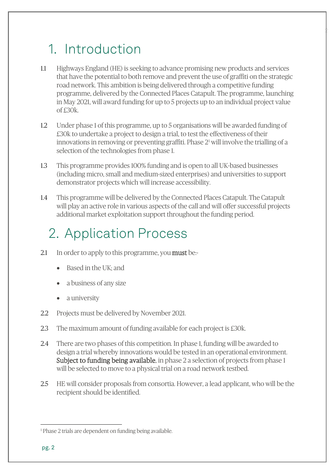## <span id="page-2-0"></span>1. Introduction

1.1 Highways England (HE) is seeking to advance promising new products and services that have the potential to both remove and prevent the use of graffiti on the strategic road network. This ambition is being delivered through a competitive funding programme, delivered by the Connected Places Catapult. The programme, launching in May 2021, will award funding for up to 5 projects up to an individual project value of £30k.

2

- 1.2 Under phase 1 of this programme, up to 5 organisations will be awarded funding of £30k to undertake a project to design a trial, to test the effectiveness of their innovations in removing or preventing graffiti. Phase  $2<sup>1</sup>$  $2<sup>1</sup>$  $2<sup>1</sup>$  will involve the trialling of a selection of the technologies from phase 1.
- 1.3 This programme provides 100% funding and is open to all UK-based businesses (including micro, small and medium-sized enterprises) and universities to support demonstrator projects which will increase accessibility.
- 1.4 This programme will be delivered by the Connected Places Catapult. The Catapult will play an active role in various aspects of the call and will offer successful projects additional market exploitation support throughout the funding period.

## <span id="page-2-1"></span>2. Application Process

- 2.1 In order to apply to this programme, you **must** be:-
	- Based in the UK; and
	- a business of any size
	- a university
- 2.2 Projects must be delivered by November 2021.
- 2.3 The maximum amount of funding available for each project is £30k.
- 2.4 There are two phases of this competition. In phase 1, funding will be awarded to design a trial whereby innovations would be tested in an operational environment. Subject to funding being available, in phase 2 a selection of projects from phase 1 will be selected to move to a physical trial on a road network testbed.
- 2.5 HE will consider proposals from consortia. However, a lead applicant, who will be the recipient should be identified.

<span id="page-2-2"></span><sup>&</sup>lt;sup>1</sup> Phase 2 trials are dependent on funding being available.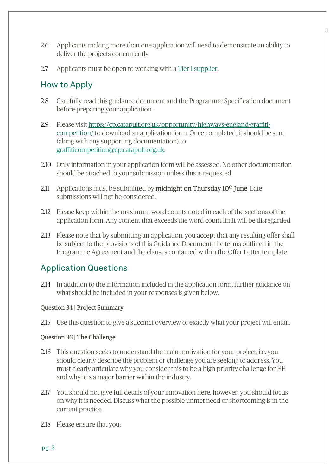2.6 Applicants making more than one application will need to demonstrate an ability to deliver the projects concurrently.

 $\mathbb{P}$ 

2.7 Applicants must be open to working with a [Tier 1 supplier.](https://www.reference.com/business-finance/tier-one-two-three-suppliers-db8c1c0d8ab770a1) 

## <span id="page-3-0"></span>How to Apply

- 2.8 Carefully read this guidance document and the Programme Specification document before preparing your application.
- 2.9 Please visit [https://cp.catapult.org.uk/opportunity/highways-england-graffiti](https://cp.catapult.org.uk/opportunity/highways-england-graffiti-competition/)[competition/](https://cp.catapult.org.uk/opportunity/highways-england-graffiti-competition/) to download an application form. Once completed, it should be sent (along with any supporting documentation) to [graffiticompetition@cp.catapult.org.uk.](mailto:graffiticompetition@cp.catapult.org.uk)
- 2.10 Only information in your application form will be assessed. No other documentation should be attached to your submission unless this is requested.
- 2.11 Applications must be submitted by **midnight on Thursday 10<sup>th</sup> June**. Late submissions will not be considered.
- 2.12 Please keep within the maximum word counts noted in each of the sections of the application form. Any content that exceeds the word count limit will be disregarded.
- 2.13 Please note that by submitting an application, you accept that any resulting offer shall be subject to the provisions of this Guidance Document, the terms outlined in the Programme Agreement and the clauses contained within the Offer Letter template.

## <span id="page-3-1"></span>Application Questions

2.14 In addition to the information included in the application form, further guidance on what should be included in your responses is given below.

### <span id="page-3-2"></span>Question 34 | Project Summary

2.15 Use this question to give a succinct overview of exactly what your project will entail.

### <span id="page-3-3"></span>Question 36 | The Challenge

- 2.16 This question seeks to understand the main motivation for your project, i.e. you should clearly describe the problem or challenge you are seeking to address. You must clearly articulate why you consider this to be a high priority challenge for HE and why it is a major barrier within the industry.
- 2.17 You should not give full details of your innovation here, however, you should focus on why it is needed. Discuss what the possible unmet need or shortcoming is in the current practice.
- 2.18 Please ensure that you;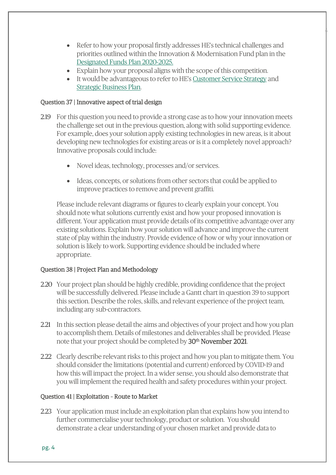• Refer to how your proposal firstly addresses HE's technical challenges and priorities outlined within the Innovation & Modernisation Fund plan in the [Designated Funds Plan 2020-2025.](https://highwaysengland.co.uk/media/lh2ll0ao/designated-funds-plan-2020-2025.pdf)

4

- Explain how your proposal aligns with the scope of this competition.
- It would be advantageous to refer to HE's [Customer Service Strategy](https://assets.publishing.service.gov.uk/government/uploads/system/uploads/attachment_data/file/490538/S150470_Customer_Service_Strategy.pdf) and [Strategic Business Plan.](https://highwaysengland.co.uk/media/3i5c454q/strategic-business-plan-2020-25.pdf)

### <span id="page-4-0"></span>Question 37 | Innovative aspect of trial design

- 2.19 For this question you need to provide a strong case as to how your innovation meets the challenge set out in the previous question, along with solid supporting evidence. For example, does your solution apply existing technologies in new areas, is it about developing new technologies for existing areas or is it a completely novel approach? Innovative proposals could include:
	- Novel ideas, technology, processes and/or services.
	- Ideas, concepts, or solutions from other sectors that could be applied to improve practices to remove and prevent graffiti.

Please include relevant diagrams or figures to clearly explain your concept. You should note what solutions currently exist and how your proposed innovation is different. Your application must provide details of its competitive advantage over any existing solutions. Explain how your solution will advance and improve the current state of play within the industry. Provide evidence of how or why your innovation or solution is likely to work. Supporting evidence should be included where appropriate.

## <span id="page-4-1"></span>Question 38 | Project Plan and Methodology

- 2.20 Your project plan should be highly credible, providing confidence that the project will be successfully delivered. Please include a Gantt chart in question 39 to support this section. Describe the roles, skills, and relevant experience of the project team, including any sub-contractors.
- 2.21 In this section please detail the aims and objectives of your project and how you plan to accomplish them. Details of milestones and deliverables shall be provided. Please note that your project should be completed by 30<sup>th</sup> November 2021.
- 2.22 Clearly describe relevant risks to this project and how you plan to mitigate them. You should consider the limitations (potential and current) enforced by COVID-19 and how this will impact the project. In a wider sense, you should also demonstrate that you will implement the required health and safety procedures within your project.

### <span id="page-4-2"></span>Question 41 | Exploitation – Route to Market

2.23 Your application must include an exploitation plan that explains how you intend to further commercialise your technology, product or solution. You should demonstrate a clear understanding of your chosen market and provide data to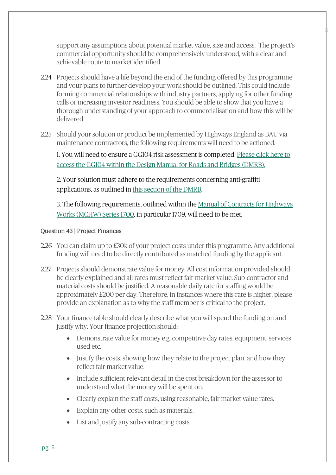support any assumptions about potential market value, size and access. The project's commercial opportunity should be comprehensively understood, with a clear and achievable route to market identified.

 $\frac{1}{2}$ 

- 2.24 Projects should have a life beyond the end of the funding offered by this programme and your plans to further develop your work should be outlined. This could include forming commercial relationships with industry partners, applying for other funding calls or increasing investor readiness. You should be able to show that you have a thorough understanding of your approach to commercialisation and how this will be delivered.
- 2.25 Should your solution or product be implemented by Highways England as BAU via maintenance contractors, the following requirements will need to be actioned.

1. You will need to ensure a GG104 risk assessment is completed. [Please click here to](https://www.standardsforhighways.co.uk/dmrb/search/0338b395-7959-4e5b-9537-5d2bdd75f3b9)  [access the GG104 within the Design Manual for Roads and Bridges \(DMRB\).](https://www.standardsforhighways.co.uk/dmrb/search/0338b395-7959-4e5b-9537-5d2bdd75f3b9) 

2. Your solution must adhere to the requirements concerning anti-graffiti applications, as outlined in this [section of the DMRB.](https://www.standardsforhighways.co.uk/dmrb/search/a60422de-22ff-4449-97fb-cc2ebabecaa9) 

3. The following requirements, outlined within the [Manual of Contracts for Highways](https://www.standardsforhighways.co.uk/ha/standards/mchw/vol1/pdfs/MCHW%20Vol%201%20Series%201700%20web%20PDF.pdf)  [Works \(MCHW\) Series 1700,](https://www.standardsforhighways.co.uk/ha/standards/mchw/vol1/pdfs/MCHW%20Vol%201%20Series%201700%20web%20PDF.pdf) in particular 1709, will need to be met.

### <span id="page-5-0"></span>Question 43 | Project Finances

- 2.26 You can claim up to £30k of your project costs under this programme. Any additional funding will need to be directly contributed as matched funding by the applicant.
- 2.27 Projects should demonstrate value for money. All cost information provided should be clearly explained and all rates must reflect fair market value. Sub-contractor and material costs should be justified. A reasonable daily rate for staffing would be approximately £200 per day. Therefore, in instances where this rate is higher, please provide an explanation as to why the staff member is critical to the project.
- 2.28 Your finance table should clearly describe what you will spend the funding on and justify why. Your finance projection should:
	- Demonstrate value for money e.g. competitive day rates, equipment, services used etc.
	- Justify the costs, showing how they relate to the project plan, and how they reflect fair market value.
	- Include sufficient relevant detail in the cost breakdown for the assessor to understand what the money will be spent on.
	- Clearly explain the staff costs, using reasonable, fair market value rates.
	- Explain any other costs, such as materials.
	- List and justify any sub-contracting costs.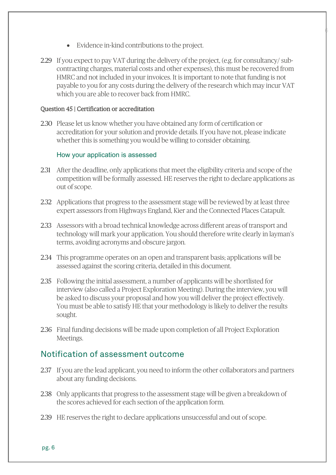- Evidence in-kind contributions to the project.
- 2.29 If you expect to pay VAT during the delivery of the project, (e.g. for consultancy/ subcontracting charges, material costs and other expenses), this must be recovered from HMRC and not included in your invoices. It is important to note that funding is not payable to you for any costs during the delivery of the research which may incur VAT which you are able to recover back from HMRC.

 $\oint$ 

#### <span id="page-6-0"></span>Question 45 | Certification or accreditation

2.30 Please let us know whether you have obtained any form of certification or accreditation for your solution and provide details. If you have not, please indicate whether this is something you would be willing to consider obtaining.

#### How your application is assessed

- 2.31 After the deadline, only applications that meet the eligibility criteria and scope of the competition will be formally assessed. HE reserves the right to declare applications as out of scope.
- 2.32 Applications that progress to the assessment stage will be reviewed by at least three expert assessors from Highways England, Kier and the Connected Places Catapult.
- 2.33 Assessors with a broad technical knowledge across different areas of transport and technology will mark your application. You should therefore write clearly in layman's terms, avoiding acronyms and obscure jargon.
- 2.34 This programme operates on an open and transparent basis; applications will be assessed against the scoring criteria, detailed in this document.
- 2.35 Following the initial assessment, a number of applicants will be shortlisted for interview (also called a Project Exploration Meeting). During the interview, you will be asked to discuss your proposal and how you will deliver the project effectively. You must be able to satisfy HE that your methodology is likely to deliver the results sought.
- 2.36 Final funding decisions will be made upon completion of all Project Exploration Meetings.

## <span id="page-6-1"></span>Notification of assessment outcome

- 2.37 If you are the lead applicant, you need to inform the other collaborators and partners about any funding decisions.
- 2.38 Only applicants that progress to the assessment stage will be given a breakdown of the scores achieved for each section of the application form.
- 2.39 HE reserves the right to declare applications unsuccessful and out of scope.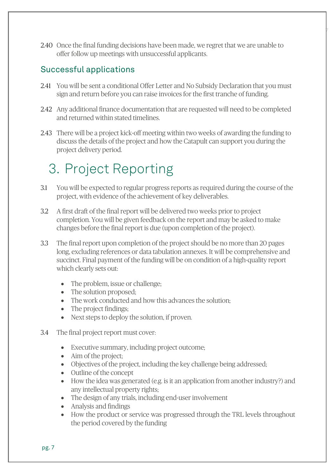2.40 Once the final funding decisions have been made, we regret that we are unable to offer follow up meetings with unsuccessful applicants.

7

## <span id="page-7-0"></span>Successful applications

- 2.41 You will be sent a conditional Offer Letter and No Subsidy Declaration that you must sign and return before you can raise invoices for the first tranche of funding.
- 2.42 Any additional finance documentation that are requested will need to be completed and returned within stated timelines.
- 2.43 There will be a project kick-off meeting within two weeks of awarding the funding to discuss the details of the project and how the Catapult can support you during the project delivery period.

## <span id="page-7-1"></span>3. Project Reporting

- 3.1 You will be expected to regular progress reports as required during the course of the project, with evidence of the achievement of key deliverables.
- 3.2 A first draft of the final report will be delivered two weeks prior to project completion. You will be given feedback on the report and may be asked to make changes before the final report is due (upon completion of the project).
- 3.3 The final report upon completion of the project should be no more than 20 pages long, excluding references or data tabulation annexes. It will be comprehensive and succinct. Final payment of the funding will be on condition of a high-quality report which clearly sets out:
	- The problem, issue or challenge;
	- The solution proposed;
	- The work conducted and how this advances the solution:
	- The project findings:
	- Next steps to deploy the solution, if proven.
- 3.4 The final project report must cover:
	- Executive summary, including project outcome;
	- Aim of the project:
	- Objectives of the project, including the key challenge being addressed;
	- Outline of the concept
	- How the idea was generated (e.g. is it an application from another industry?) and any intellectual property rights;
	- The design of any trials, including end-user involvement
	- Analysis and findings
	- How the product or service was progressed through the TRL levels throughout the period covered by the funding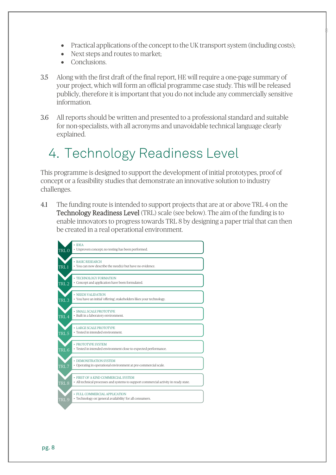• Practical applications of the concept to the UK transport system (including costs);

8

- Next steps and routes to market;
- Conclusions.
- 3.5 Along with the first draft of the final report, HE will require a one-page summary of your project, which will form an official programme case study. This will be released publicly, therefore it is important that you do not include any commercially sensitive information.
- 3.6 All reports should be written and presented to a professional standard and suitable for non-specialists, with all acronyms and unavoidable technical language clearly explained.

## <span id="page-8-0"></span>4. Technology Readiness Level

This programme is designed to support the development of initial prototypes, proof of concept or a feasibility studies that demonstrate an innovative solution to industry challenges.

4.1 The funding route is intended to support projects that are at or above TRL 4 on the Technology Readiness Level (TRL) scale (see below). The aim of the funding is to enable innovators to progress towards TRL 8 by designing a paper trial that can then be created in a real operational environment.

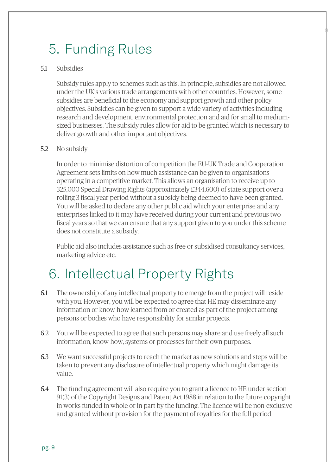## <span id="page-9-0"></span>5. Funding Rules

#### 5.1 Subsidies

Subsidy rules apply to schemes such as this. In principle, subsidies are not allowed under the UK's various trade arrangements with other countries. However, some subsidies are beneficial to the economy and support growth and other policy objectives. Subsidies can be given to support a wide variety of activities including research and development, environmental protection and aid for small to mediumsized businesses. The subsidy rules allow for aid to be granted which is necessary to deliver growth and other important objectives.

 $\mathbb{P}$ 

#### 5.2 No subsidy

In order to minimise distortion of competition the EU-UK Trade and Cooperation Agreement sets limits on how much assistance can be given to organisations operating in a competitive market. This allows an organisation to receive up to 325,000 Special Drawing Rights (approximately £344,600) of state support over a rolling 3 fiscal year period without a subsidy being deemed to have been granted. You will be asked to declare any other public aid which your enterprise and any enterprises linked to it may have received during your current and previous two fiscal years so that we can ensure that any support given to you under this scheme does not constitute a subsidy.

Public aid also includes assistance such as free or subsidised consultancy services, marketing advice etc.

## <span id="page-9-1"></span>6. Intellectual Property Rights

- 6.1 The ownership of any intellectual property to emerge from the project will reside with you. However, you will be expected to agree that HE may disseminate any information or know-how learned from or created as part of the project among persons or bodies who have responsibility for similar projects.
- 6.2 You will be expected to agree that such persons may share and use freely all such information, know-how, systems or processes for their own purposes.
- 6.3 We want successful projects to reach the market as new solutions and steps will be taken to prevent any disclosure of intellectual property which might damage its value.
- 6.4 The funding agreement will also require you to grant a licence to HE under section 91(3) of the Copyright Designs and Patent Act 1988 in relation to the future copyright in works funded in whole or in part by the funding. The licence will be non-exclusive and granted without provision for the payment of royalties for the full period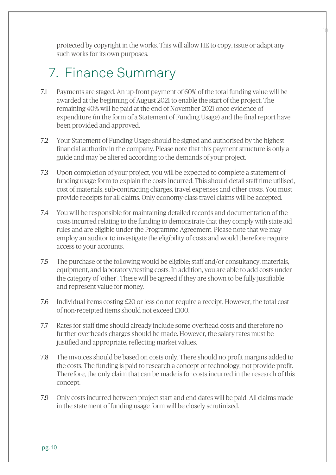protected by copyright in the works. This will allow HE to copy, issue or adapt any such works for its own purposes.

10

## <span id="page-10-0"></span>7. Finance Summary

- 7.1 Payments are staged. An up-front payment of 60% of the total funding value will be awarded at the beginning of August 2021 to enable the start of the project. The remaining 40% will be paid at the end of November 2021 once evidence of expenditure (in the form of a Statement of Funding Usage) and the final report have been provided and approved.
- 7.2 Your Statement of Funding Usage should be signed and authorised by the highest financial authority in the company. Please note that this payment structure is only a guide and may be altered according to the demands of your project.
- 7.3 Upon completion of your project, you will be expected to complete a statement of funding usage form to explain the costs incurred. This should detail staff time utilised, cost of materials, sub-contracting charges, travel expenses and other costs. You must provide receipts for all claims. Only economy-class travel claims will be accepted.
- 7.4 You will be responsible for maintaining detailed records and documentation of the costs incurred relating to the funding to demonstrate that they comply with state aid rules and are eligible under the Programme Agreement. Please note that we may employ an auditor to investigate the eligibility of costs and would therefore require access to your accounts.
- 7.5 The purchase of the following would be eligible; staff and/or consultancy, materials, equipment, and laboratory/testing costs. In addition, you are able to add costs under the category of 'other'. These will be agreed if they are shown to be fully justifiable and represent value for money.
- 7.6 Individual items costing £20 or less do not require a receipt. However, the total cost of non-receipted items should not exceed £100.
- 7.7 Rates for staff time should already include some overhead costs and therefore no further overheads charges should be made. However, the salary rates must be justified and appropriate, reflecting market values.
- 7.8 The invoices should be based on costs only. There should no profit margins added to the costs. The funding is paid to research a concept or technology, not provide profit. Therefore, the only claim that can be made is for costs incurred in the research of this concept.
- 7.9 Only costs incurred between project start and end dates will be paid. All claims made in the statement of funding usage form will be closely scrutinized.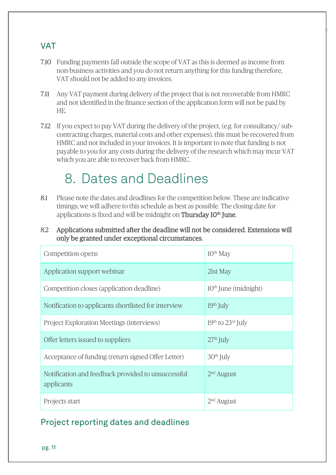## <span id="page-11-0"></span>VAT

7.10 Funding payments fall outside the scope of VAT as this is deemed as income from non-business activities and you do not return anything for this funding therefore, VAT should not be added to any invoices.

11

- 7.11 Any VAT payment during delivery of the project that is not recoverable from HMRC and not identified in the finance section of the application form will not be paid by HE.
- 7.12 If you expect to pay VAT during the delivery of the project, (e.g. for consultancy/ subcontracting charges, material costs and other expenses), this must be recovered from HMRC and not included in your invoices. It is important to note that funding is not payable to you for any costs during the delivery of the research which may incur VAT which you are able to recover back from HMRC.

## <span id="page-11-1"></span>8. Dates and Deadlines

- 8.1 Please note the dates and deadlines for the competition below. These are indicative timings; we will adhere to this schedule as best as possible. The closing date for applications is fixed and will be midnight on **Thursday 10<sup>th</sup> June.**
- 8.2 Applications submitted after the deadline will not be considered. Extensions will only be granted under exceptional circumstances.

| Competition opens                                                | $10th$ May             |
|------------------------------------------------------------------|------------------------|
| Application support webinar                                      | 21st May               |
| Competition closes (application deadline)                        | $10th$ June (midnight) |
| Notification to applicants shortlisted for interview             | $19th$ July            |
| <b>Project Exploration Meetings (interviews)</b>                 | $19th$ to $23rd$ July  |
| Offer letters issued to suppliers                                | $27th$ July            |
| Acceptance of funding (return signed Offer Letter)               | $30th$ July            |
| Notification and feedback provided to unsuccessful<br>applicants | $2nd$ August           |
| Projects start                                                   | $2nd$ August           |

## Project reporting dates and deadlines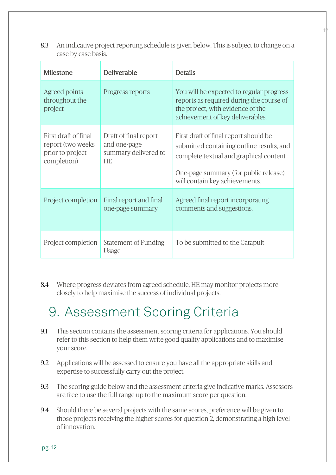8.3 An indicative project reporting schedule is given below. This is subject to change on a case by case basis.

12

| Milestone                                                                    | Deliverable                                                                | <b>Details</b>                                                                                                                                                                                           |
|------------------------------------------------------------------------------|----------------------------------------------------------------------------|----------------------------------------------------------------------------------------------------------------------------------------------------------------------------------------------------------|
| Agreed points<br>throughout the<br>project                                   | Progress reports                                                           | You will be expected to regular progress<br>reports as required during the course of<br>the project, with evidence of the<br>achievement of key deliverables.                                            |
| First draft of final<br>report (two weeks<br>prior to project<br>completion) | Draft of final report<br>and one-page<br>summary delivered to<br><b>HE</b> | First draft of final report should be<br>submitted containing outline results, and<br>complete textual and graphical content.<br>One-page summary (for public release)<br>will contain key achievements. |
| Project completion                                                           | Final report and final<br>one-page summary                                 | Agreed final report incorporating<br>comments and suggestions.                                                                                                                                           |
| Project completion                                                           | Statement of Funding<br>Usage                                              | To be submitted to the Catapult                                                                                                                                                                          |

8.4 Where progress deviates from agreed schedule, HE may monitor projects more closely to help maximise the success of individual projects.

## <span id="page-12-0"></span>9. Assessment Scoring Criteria

- 9.1 This section contains the assessment scoring criteria for applications. You should refer to this section to help them write good quality applications and to maximise your score.
- 9.2 Applications will be assessed to ensure you have all the appropriate skills and expertise to successfully carry out the project.
- 9.3 The scoring guide below and the assessment criteria give indicative marks. Assessors are free to use the full range up to the maximum score per question.
- 9.4 Should there be several projects with the same scores, preference will be given to those projects receiving the higher scores for question 2, demonstrating a high level of innovation.

pg. 12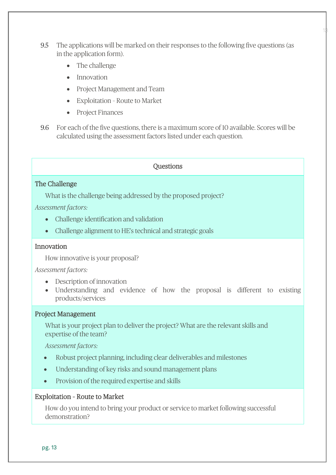9.5 The applications will be marked on their responses to the following five questions (as in the application form).

13

- The challenge
- Innovation
- Project Management and Team
- Exploitation Route to Market
- Project Finances
- 9.6 For each of the five questions, there is a maximum score of 10 available. Scores will be calculated using the assessment factors listed under each question.

#### **Ouestions**

### The Challenge

What is the challenge being addressed by the proposed project?

*Assessment factors:*

- Challenge identification and validation
- Challenge alignment to HE's technical and strategic goals

### Innovation

How innovative is your proposal?

#### *Assessment factors:*

- Description of innovation
- Understanding and evidence of how the proposal is different to existing products/services

#### Project Management

What is your project plan to deliver the project? What are the relevant skills and expertise of the team?

*Assessment factors:*

- Robust project planning, including clear deliverables and milestones
- Understanding of key risks and sound management plans
- Provision of the required expertise and skills

#### Exploitation – Route to Market

How do you intend to bring your product or service to market following successful demonstration?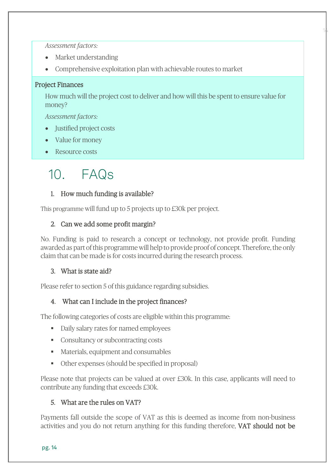*Assessment factors:*

- Market understanding
- Comprehensive exploitation plan with achievable routes to market

### Project Finances

How much will the project cost to deliver and how will this be spent to ensure value for money?

14

*Assessment factors:*

- Justified project costs
- Value for money
- Resource costs

## <span id="page-14-0"></span>10. FAQs

### 1. How much funding is available?

This programme will fund up to 5 projects up to £30k per project.

### 2. Can we add some profit margin?

No. Funding is paid to research a concept or technology, not provide profit. Funding awarded as part of this programme will help to provide proof of concept. Therefore, the only claim that can be made is for costs incurred during the research process.

## 3. What is state aid?

Please refer to section 5 of this guidance regarding subsidies.

## 4. What can I include in the project finances?

The following categories of costs are eligible within this programme:

- Daily salary rates for named employees
- Consultancy or subcontracting costs
- Materials, equipment and consumables
- Other expenses (should be specified in proposal)

Please note that projects can be valued at over £30k. In this case, applicants will need to contribute any funding that exceeds £30k.

## 5. What are the rules on VAT?

Payments fall outside the scope of VAT as this is deemed as income from non-business activities and you do not return anything for this funding therefore, VAT should not be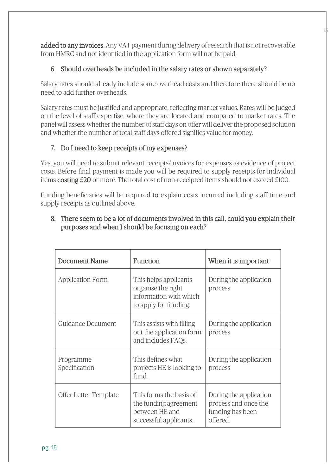added to any invoices. Any VAT payment during delivery of research that is not recoverable from HMRC and not identified in the application form will not be paid.

15

## 6. Should overheads be included in the salary rates or shown separately?

Salary rates should already include some overhead costs and therefore there should be no need to add further overheads.

Salary rates must be justified and appropriate, reflecting market values. Rates will be judged on the level of staff expertise, where they are located and compared to market rates. The panel will assess whether the number of staff days on offer will deliver the proposed solution and whether the number of total staff days offered signifies value for money.

## 7. Do I need to keep receipts of my expenses?

Yes, you will need to submit relevant receipts/invoices for expenses as evidence of project costs. Before final payment is made you will be required to supply receipts for individual items costing £20 or more. The total cost of non-receipted items should not exceed £100.

Funding beneficiaries will be required to explain costs incurred including staff time and supply receipts as outlined above.

| <b>Document Name</b>       | <b>Function</b>                                                                                | When it is important                                                           |
|----------------------------|------------------------------------------------------------------------------------------------|--------------------------------------------------------------------------------|
| <b>Application Form</b>    | This helps applicants<br>organise the right<br>information with which<br>to apply for funding. | During the application<br>process                                              |
| Guidance Document          | This assists with filling<br>out the application form<br>and includes FAQs.                    | During the application<br>process                                              |
| Programme<br>Specification | This defines what<br>projects HE is looking to<br>fund.                                        | During the application<br>process                                              |
| Offer Letter Template      | This forms the basis of<br>the funding agreement<br>between HE and<br>successful applicants.   | During the application<br>process and once the<br>funding has been<br>offered. |

## 8. There seem to be a lot of documents involved in this call, could you explain their purposes and when I should be focusing on each?